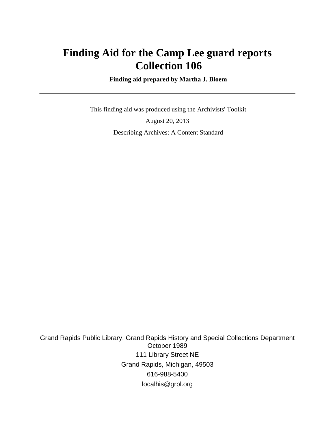# **Finding Aid for the Camp Lee guard reports Collection 106**

 **Finding aid prepared by Martha J. Bloem**

 This finding aid was produced using the Archivists' Toolkit August 20, 2013 Describing Archives: A Content Standard

Grand Rapids Public Library, Grand Rapids History and Special Collections Department October 1989 111 Library Street NE Grand Rapids, Michigan, 49503 616-988-5400 localhis@grpl.org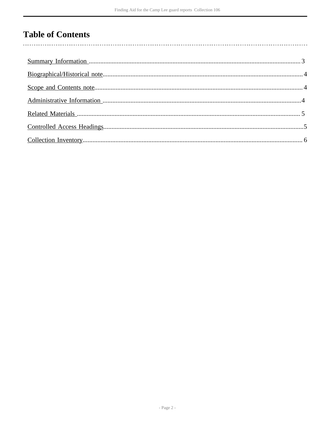# **Table of Contents**

 $\overline{\phantom{a}}$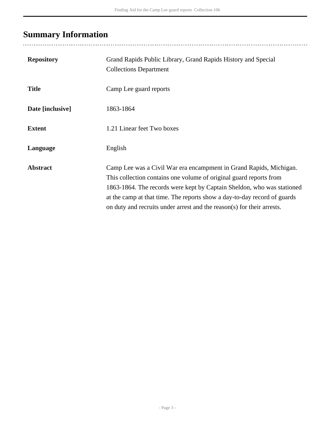# <span id="page-2-0"></span>**Summary Information**

| <b>Repository</b> | Grand Rapids Public Library, Grand Rapids History and Special<br><b>Collections Department</b>                                                                                                                                                                                                                                                                           |
|-------------------|--------------------------------------------------------------------------------------------------------------------------------------------------------------------------------------------------------------------------------------------------------------------------------------------------------------------------------------------------------------------------|
| <b>Title</b>      | Camp Lee guard reports                                                                                                                                                                                                                                                                                                                                                   |
| Date [inclusive]  | 1863-1864                                                                                                                                                                                                                                                                                                                                                                |
| <b>Extent</b>     | 1.21 Linear feet Two boxes                                                                                                                                                                                                                                                                                                                                               |
| Language          | English                                                                                                                                                                                                                                                                                                                                                                  |
| <b>Abstract</b>   | Camp Lee was a Civil War era encampment in Grand Rapids, Michigan.<br>This collection contains one volume of original guard reports from<br>1863-1864. The records were kept by Captain Sheldon, who was stationed<br>at the camp at that time. The reports show a day-to-day record of guards<br>on duty and recruits under arrest and the reason(s) for their arrests. |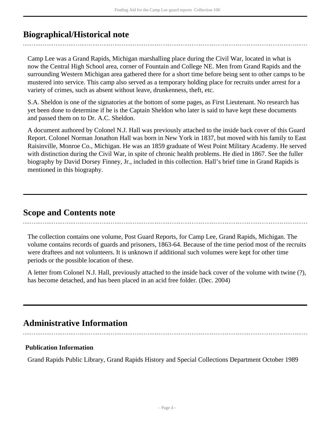## <span id="page-3-0"></span>**Biographical/Historical note**

Camp Lee was a Grand Rapids, Michigan marshalling place during the Civil War, located in what is now the Central High School area, corner of Fountain and College NE. Men from Grand Rapids and the surrounding Western Michigan area gathered there for a short time before being sent to other camps to be mustered into service. This camp also served as a temporary holding place for recruits under arrest for a variety of crimes, such as absent without leave, drunkenness, theft, etc.

S.A. Sheldon is one of the signatories at the bottom of some pages, as First Lieutenant. No research has yet been done to determine if he is the Captain Sheldon who later is said to have kept these documents and passed them on to Dr. A.C. Sheldon.

A document authored by Colonel N.J. Hall was previously attached to the inside back cover of this Guard Report. Colonel Norman Jonathon Hall was born in New York in 1837, but moved with his family to East Raisinville, Monroe Co., Michigan. He was an 1859 graduate of West Point Military Academy. He served with distinction during the Civil War, in spite of chronic health problems. He died in 1867. See the fuller biography by David Dorsey Finney, Jr., included in this collection. Hall's brief time in Grand Rapids is mentioned in this biography.

### <span id="page-3-1"></span>**Scope and Contents note**

The collection contains one volume, Post Guard Reports, for Camp Lee, Grand Rapids, Michigan. The volume contains records of guards and prisoners, 1863-64. Because of the time period most of the recruits were draftees and not volunteers. It is unknown if additional such volumes were kept for other time periods or the possible location of these.

A letter from Colonel N.J. Hall, previously attached to the inside back cover of the volume with twine (?), has become detached, and has been placed in an acid free folder. (Dec. 2004)

## <span id="page-3-2"></span>**Administrative Information**

### **Publication Information**

Grand Rapids Public Library, Grand Rapids History and Special Collections Department October 1989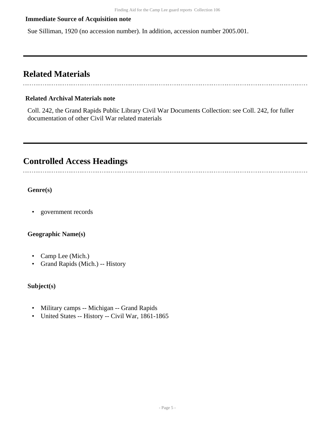### **Immediate Source of Acquisition note**

Sue Silliman, 1920 (no accession number). In addition, accession number 2005.001.

### <span id="page-4-0"></span>**Related Materials**

### **Related Archival Materials note**

Coll. 242, the Grand Rapids Public Library Civil War Documents Collection: see Coll. 242, for fuller documentation of other Civil War related materials

## <span id="page-4-1"></span>**Controlled Access Headings**

**Genre(s)**

• government records

### **Geographic Name(s)**

- Camp Lee (Mich.)
- Grand Rapids (Mich.) -- History

#### **Subject(s)**

- Military camps -- Michigan -- Grand Rapids
- United States -- History -- Civil War, 1861-1865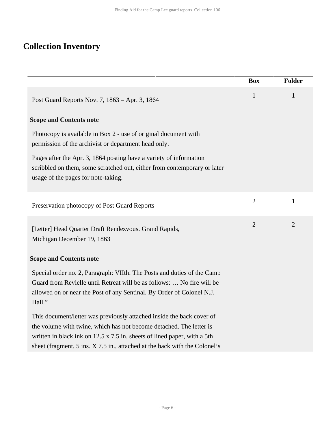## <span id="page-5-0"></span>**Collection Inventory**

|                                                                                                                                                                                                                                                                                                               | <b>Box</b>     | <b>Folder</b>  |
|---------------------------------------------------------------------------------------------------------------------------------------------------------------------------------------------------------------------------------------------------------------------------------------------------------------|----------------|----------------|
| Post Guard Reports Nov. 7, 1863 – Apr. 3, 1864                                                                                                                                                                                                                                                                | $\mathbf{1}$   | $\mathbf{1}$   |
| <b>Scope and Contents note</b>                                                                                                                                                                                                                                                                                |                |                |
| Photocopy is available in Box 2 - use of original document with<br>permission of the archivist or department head only.                                                                                                                                                                                       |                |                |
| Pages after the Apr. 3, 1864 posting have a variety of information<br>scribbled on them, some scratched out, either from contemporary or later<br>usage of the pages for note-taking.                                                                                                                         |                |                |
| Preservation photocopy of Post Guard Reports                                                                                                                                                                                                                                                                  | $\overline{2}$ | $\mathbf{1}$   |
| [Letter] Head Quarter Draft Rendezvous. Grand Rapids,<br>Michigan December 19, 1863                                                                                                                                                                                                                           | $\overline{2}$ | $\overline{2}$ |
| <b>Scope and Contents note</b>                                                                                                                                                                                                                                                                                |                |                |
| Special order no. 2, Paragraph: VIIth. The Posts and duties of the Camp<br>Guard from Revielle until Retreat will be as follows:  No fire will be<br>allowed on or near the Post of any Sentinal. By Order of Colonel N.J.<br>Hall."                                                                          |                |                |
| This document/letter was previously attached inside the back cover of<br>the volume with twine, which has not become detached. The letter is<br>written in black ink on $12.5 \times 7.5$ in. sheets of lined paper, with a 5th<br>sheet (fragment, 5 ins. X 7.5 in., attached at the back with the Colonel's |                |                |